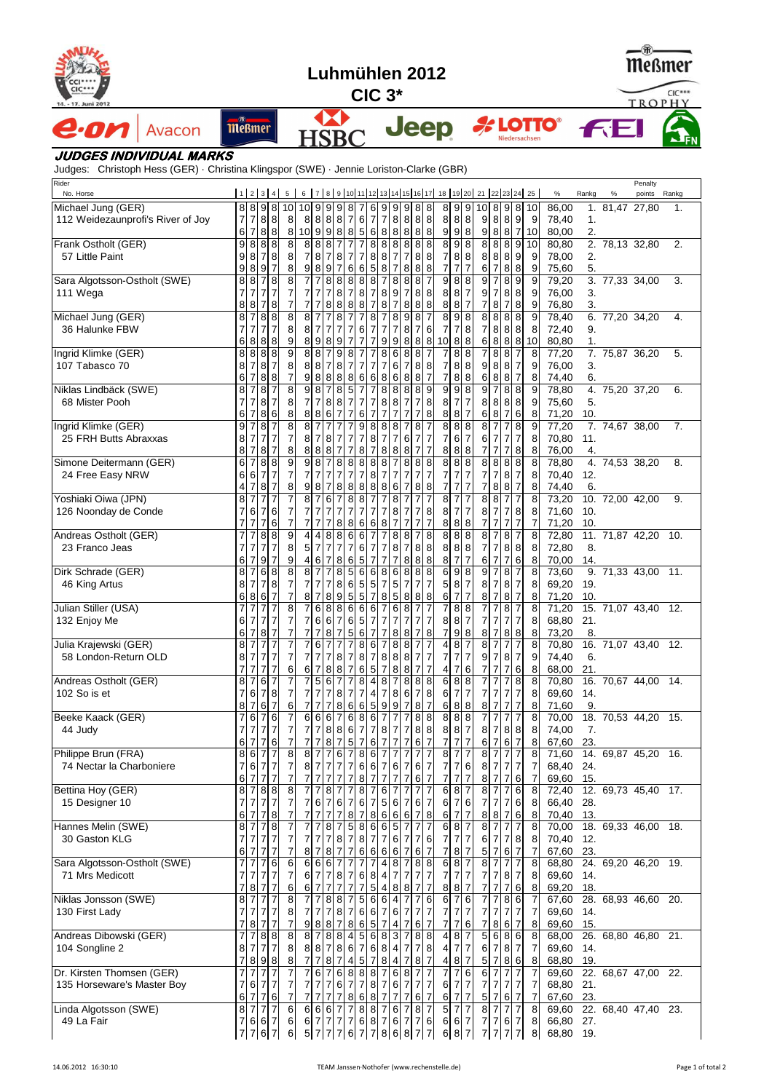| Luhmühlen 2012                                                                                                            |        |                                  |                                                     |                                          |                 |                                  |                                                           |                                                    |                                        |                                                            |                                                                                  |                                          |                                       |                            |                                                                                |  |                                          |                                                                      |                                       |                            |                                                      |                                                                                               | (W)-<br>Meßmer<br>$CIC***$ |                                       |                             |              |  |   |                     |  |       |
|---------------------------------------------------------------------------------------------------------------------------|--------|----------------------------------|-----------------------------------------------------|------------------------------------------|-----------------|----------------------------------|-----------------------------------------------------------|----------------------------------------------------|----------------------------------------|------------------------------------------------------------|----------------------------------------------------------------------------------|------------------------------------------|---------------------------------------|----------------------------|--------------------------------------------------------------------------------|--|------------------------------------------|----------------------------------------------------------------------|---------------------------------------|----------------------------|------------------------------------------------------|-----------------------------------------------------------------------------------------------|----------------------------|---------------------------------------|-----------------------------|--------------|--|---|---------------------|--|-------|
| 4. - 17. Juni 2012                                                                                                        |        | $CIC3*$                          |                                                     |                                          |                 |                                  |                                                           |                                                    |                                        |                                                            |                                                                                  |                                          |                                       |                            |                                                                                |  | TROPHY                                   |                                                                      |                                       |                            |                                                      |                                                                                               |                            |                                       |                             |              |  |   |                     |  |       |
| e·on                                                                                                                      | Avacon | <b>Meßmer</b>                    |                                                     |                                          |                 |                                  |                                                           |                                                    |                                        |                                                            |                                                                                  |                                          |                                       |                            | <b>Jeep</b>                                                                    |  |                                          |                                                                      |                                       |                            |                                                      |                                                                                               | Niedersachsen              |                                       | <b>A LOTTO</b> ®            | <b>FE</b>    |  |   |                     |  |       |
| <b>JUDGES INDIVIDUAL MARKS</b><br>Judges: Christoph Hess (GER) · Christina Klingspor (SWE) · Jennie Loriston-Clarke (GBR) |        |                                  |                                                     |                                          |                 |                                  |                                                           |                                                    |                                        |                                                            |                                                                                  |                                          |                                       |                            |                                                                                |  |                                          |                                                                      |                                       |                            |                                                      |                                                                                               |                            |                                       |                             |              |  |   |                     |  |       |
| Rider<br>No. Horse                                                                                                        |        |                                  |                                                     | $1 \mid 2 \mid 3 \mid 4$                 |                 | 5 <sup>1</sup>                   |                                                           |                                                    |                                        |                                                            |                                                                                  |                                          |                                       |                            | 6 7 8 9 10 11 12 13 14 15 16 17 18 19 20 21 22 23 24 25                        |  |                                          |                                                                      |                                       |                            |                                                      |                                                                                               |                            |                                       | $\%$                        | Rankg        |  | % | Penalty<br>points   |  | Rankg |
| Michael Jung (GER)<br>112 Weidezaunprofi's River of Joy                                                                   |        | $\overline{7}$<br>6              | $\overline{7}$<br>7                                 | 8 8 9 8<br>8 8<br>8 8                    | 10 <sup>1</sup> | 8<br>8                           |                                                           |                                                    | $10$ 9 9 9 8 7<br>88887<br>10 9 9 8 85 |                                                            | $\,$ 6<br>$\overline{7}$<br>6                                                    | $\overline{7}$<br>$\boldsymbol{8}$       | 8<br>8                                | $\boldsymbol{8}$           | 6 9 9 9 8 8<br>888<br>8 8                                                      |  | 9                                        | 899<br>888<br>98                                                     |                                       | 988                        |                                                      | 9889                                                                                          | 10 8 9 8 10<br>7 10        | 9                                     | 86,00<br>78,40<br>80,00     | 1.<br>2.     |  |   | 1. 81,47 27,80      |  | 1.    |
| Frank Ostholt (GER)<br>57 Little Paint                                                                                    |        | 9<br>9<br>9                      | 8<br>$\bf8$<br>8                                    | 8 8<br>78<br>9 <sub>7</sub>              |                 | 8<br>8<br>8                      | 8 8<br>7 8<br>9 8                                         | $\infty$<br>$\overline{7}$<br>9                    | $\overline{7}$<br>8<br>$\overline{7}$  | $\overline{7}$<br>$\overline{7}$<br>7<br>6                 | 8<br>8<br>7<br>6<br>$5\phantom{.0}$                                              | 8<br>8<br>8                              | $\overline{7}$<br>7                   | $\overline{7}$<br>8        | 8888<br>8 8<br>$\bf 8$<br>8                                                    |  | 8<br>71<br>$\overline{7}$                | $\overline{9}$<br>88<br>$\overline{7}$                               | $\overline{7}$                        | 8 8 8<br>6                 | $\overline{7}$                                       | 9<br>8<br>8                                                                                   | 888910                     | 9<br>9                                | 80,80<br>78,00<br>75,60     | 2.<br>5.     |  |   | 2. 78,13 32,80      |  | 2.    |
| Sara Algotsson-Ostholt (SWE)<br>111 Wega                                                                                  |        | 8<br>8                           | 8<br>$\overline{7}$<br>8                            | $\frac{1}{8}$<br>717<br>78               |                 | 8<br>7<br>7                      | 717<br>717                                                | 8<br>$\overline{7}$<br>8                           | 8<br>8<br>8                            | 8<br>$\overline{7}$<br>8                                   | 8<br>8<br>$\bf 8$<br>$\overline{7}$<br>$\overline{7}$<br>8                       | 8<br>8                                   | 8<br>$9 \mid$<br>$\overline{7}$       | 8<br>$\overline{7}$<br>8   | 8<br>$\boldsymbol{8}$<br>8<br>$\boldsymbol{8}$<br>8                            |  | 9<br>8<br>8 <sup>1</sup>                 | 8<br>$\bf 8$<br>8<br>$\overline{7}$                                  | 8<br>$\overline{7}$                   | 91<br>7                    | $\overline{7}$<br>8                                  | 8<br>9<br>8<br>8<br>8<br>$\overline{7}$                                                       |                            | 9<br>9 <sub>l</sub><br>9              | 79,20<br>76,00<br>76,80     | 3.<br>3.     |  |   | 3. 77,33 34,00      |  | 3.    |
| Michael Jung (GER)<br>36 Halunke FBW                                                                                      |        | 8<br>6                           | $\overline{7}$<br>$\overline{7}$<br>8               | $\frac{8}{8}$<br>$7\overline{7}$<br>8 8  |                 | 8<br>8<br>9                      | $\overline{7}$<br>817<br>89                               | $\overline{7}$<br>$\overline{7}$<br>8              | 8<br>$\overline{7}$<br>9               | $\overline{7}$<br>$\overline{7}$                           | 8<br>6<br>$\overline{7}$<br>7<br>$\overline{7}$                                  | 7<br>$\overline{7}$<br>9                 | 8<br>$\overline{7}$<br>9              | 9<br>8<br>8                | 8<br>6<br>7<br>$\boldsymbol{8}$<br>8                                           |  | 8<br>7<br>10                             | 9<br>$\overline{\mathbf{8}}$<br>$\overline{7}$<br>8                  | 8<br>8                                | 8<br>$\overline{7}$<br>6   | $\frac{8}{8}$<br>8 8                                 | 8<br>8                                                                                        | 8 8 8 10                   | 9<br>8                                | 78,40<br>72,40<br>80,80     | 9.<br>1.     |  |   | 6. 77,20 34,20      |  | 4.    |
| Ingrid Klimke (GER)<br>107 Tabasco 70                                                                                     |        | 8<br>8<br>6                      | $\infty$<br>$\overline{7}$<br>$\overline{7}$        | 8 8<br>8 <sub>17</sub><br>8 8            |                 | 9<br>8<br>7                      | 88<br>8 8<br>9 8                                          | $\overline{7}$<br>$\overline{7}$<br>8              | 9<br>8<br>8 8                          | 8<br>7                                                     | $\overline{7}$<br>7<br>7<br>$\overline{7}$<br>$6\phantom{.}6$<br>6               | 8<br>7<br>8                              | $6 \overline{6}$<br>6<br>6            | 8<br>7<br>8                | $\overline{7}$<br>8<br>88<br>$\overline{7}$<br>8                               |  | 7<br>7<br>7                              | ø<br>8<br>88<br>8                                                    | 8                                     | $\overline{7}$<br>9<br>6   | 88<br>88<br>8                                        | $\overline{7}$<br>$\overline{7}$<br>8<br>$\overline{7}$                                       |                            | 8<br>9<br>8                           | 77,20<br>76,00<br>74,40     | 3.<br>6.     |  |   | 7. 75,87 36,20      |  | 5.    |
| Niklas Lindbäck (SWE)<br>68 Mister Pooh                                                                                   |        | 8<br>7<br>6                      | 7<br>$\overline{7}$<br>$\overline{7}$               | 8<br>8 <sub>7</sub><br>86                | $\overline{7}$  | 8<br>8<br>8                      | 8<br>717<br>8 8                                           | 8 8<br>$6 \,$                                      | 8<br>$\overline{7}$                    | 5 <sub>5</sub><br>$\overline{7}$                           | $\overline{7}$<br>$\overline{7}$<br>6<br>$\overline{7}$                          | 8<br>8<br>7                              | 8<br>8<br>$\overline{7}$              | 8<br>$\overline{7}$<br>7   | 9<br>8<br>$\,8\,$<br>$\overline{7}$<br>8                                       |  | 9<br>8<br>8                              | $\boldsymbol{9}$<br>$\overline{7}$<br>8                              | 8<br>$\overline{7}$<br>$\overline{7}$ | 8 8 8<br>6                 | $\overline{7}$<br>$\lvert 8 \rvert$                  | 8<br>8<br>8<br>$\overline{7}$<br>6                                                            |                            | 9<br>9<br>8                           | 78,80<br>75,60<br>71,20     | 5.<br>10.    |  |   | 4. 75.20 37.20      |  | 6.    |
| Ingrid Klimke (GER)<br>25 FRH Butts Abraxxas                                                                              |        | 9<br>8<br>8                      | $\overline{7}$<br>$\overline{7}$<br>$\overline{7}$  | 8 <sub>7</sub><br>717<br>8 <sub>7</sub>  |                 | 8<br>7<br>8                      | $\overline{7}$<br>817<br>8 8                              | $\overline{7}$<br>8<br>8                           | 7<br>7                                 |                                                            | 9<br>8<br>7<br>8<br>8<br>$\overline{7}$                                          | 8<br>7<br>8                              | 8<br>$\overline{7}$<br>8              | 7<br>6<br>8                | $\overline{7}$<br>8<br>$\overline{7}$<br>$\overline{7}$<br>$\overline{7}$<br>7 |  | 8<br>7<br>8                              | 88<br>6<br>8                                                         | $\overline{7}$<br>8                   | 8<br>6                     | $\overline{7}$<br>$\overline{7}$<br>$\overline{7}$   | $\overline{7}$<br>8<br>$\overline{7}$<br>7<br>8<br>7                                          |                            | 9<br>8<br>8                           | 77,20<br>70,80<br>76,00     | 11.<br>4.    |  |   | 7. 74,67 38,00      |  | 7.    |
| Simone Deitermann (GER)<br>24 Free Easy NRW                                                                               |        | 6<br>6<br>4                      | $\overline{7}$<br>$6\phantom{1}6$<br>$\overline{7}$ | 88<br>7 <sub>7</sub><br>8 <sub>7</sub>   |                 | 9<br>7<br>8                      | 98<br>717<br>9<br>8                                       | $\overline{7}$<br>$\overline{7}$<br>$\overline{7}$ | 8<br>$\overline{7}$<br>8               | 8<br>$\overline{7}$<br>8                                   | 8<br>8<br>$\overline{7}$<br>8<br>8<br>8                                          | 8<br>$\overline{7}$<br>8                 | $\overline{7}$<br>$\overline{7}$<br>6 | 8<br>7<br>7                | $\,$ 8<br>8<br>$\overline{7}$<br>$\overline{7}$<br>8<br>8                      |  | 8<br>7<br>$\overline{7}$                 | 88<br>$\overline{7}$<br>$\overline{7}$                               | $\overline{7}$<br>7                   | 8<br>7<br>7                | $\frac{8}{8}$<br>$\overline{7}$<br>8                 | 8<br>$\overline{7}$<br>8<br>8<br>$\overline{7}$                                               |                            | 8<br>8<br>8                           | 78,80<br>70,40<br>74,40     | 12.<br>6.    |  |   | 4. 74,53 38,20      |  | 8.    |
| Yoshiaki Oiwa (JPN)<br>126 Noonday de Conde                                                                               |        | 8<br>$\overline{7}$              | $\overline{7}$<br>6<br>$\overline{7}$               | $7\overline{7}$<br>76<br>76              |                 | $\overline{7}$<br>7              | $\overline{7}$<br>$\overline{7}$                          | 6<br>$\overline{7}$<br>$\overline{7}$              | $\overline{7}$<br>88                   | 8<br>$\overline{7}$                                        | 8<br>$\overline{7}$<br>$\overline{7}$<br>6<br>6                                  | $\overline{7}$<br>8                      | 8<br>8 <sup>1</sup><br>$\overline{7}$ | 7<br>7                     | $\overline{7}$<br>8<br>$\overline{7}$<br>$\overline{7}$<br>7                   |  | 8<br>8<br>8 <sup>1</sup>                 | $\overline{7}$<br>$\overline{7}$<br>$\boldsymbol{8}$                 | $\overline{7}$<br>8                   | 8<br>8 <sub>7</sub><br>7   | 8<br>$\overline{7}$                                  | 7<br>7<br>7<br>8<br>$\overline{7}$<br>7                                                       |                            | 8<br>8<br>$\overline{7}$              | 73,20<br>71,60<br>71,20     | 10.<br>10.   |  |   | 10. 72,00 42,00     |  | 9.    |
| Andreas Ostholt (GER)<br>23 Franco Jeas                                                                                   |        | 6                                | $\overline{7}$<br>$\overline{7}$<br>$\overline{7}$  | 8 8<br>717<br>9 <sub>17</sub>            |                 | 9<br>8<br>9                      | $\overline{4}$<br>$5\overline{17}$<br>6<br>$\overline{4}$ | 8<br>$\overline{7}$<br>$\overline{7}$              | 8<br>7<br>8                            | 6<br>$\overline{7}$<br>6                                   | 6<br>6<br>7<br>5<br>7                                                            | 7<br>7                                   | 8<br>8 <sup>1</sup><br>7              | 8<br>7<br>8                | 8<br>7<br>88<br>$\,$ 8 $\,$<br>8                                               |  | 8<br>8 8 <br>8                           | $\overline{8}$<br>$\overline{7}$                                     | $\,$ 8<br>$\overline{7}$              | 8<br>7<br>6                | $\overline{7}$<br>7<br>7                             | 8<br>$\overline{7}$<br>8 8 <br>$6 \overline{6}$<br>7                                          |                            | 8<br>8<br>8                           | 72,80<br>72,80<br>70,00     | 8.<br>14.    |  |   | 11. 71,87 42,20 10. |  |       |
| Dirk Schrade (GER)<br>46 King Artus                                                                                       |        | 8<br>8<br>6                      | $\overline{7}$<br>$\overline{7}$<br>8               | 6 8<br>78<br>$6\overline{7}$             |                 | 8<br>7<br>$\overline{7}$         | $\overline{7}$<br>8<br>717<br>8 <sub>17</sub>             | $\overline{7}$<br>$\overline{7}$                   | 8<br>86<br>895                         | 5                                                          | 6<br>6<br>$5\phantom{.0}$<br>5 <sub>l</sub><br>$5\phantom{.0}$<br>$\overline{7}$ | 8<br>$\overline{7}$<br>8                 | 6<br>5 <sub>l</sub><br>5 <sub>5</sub> | 8<br>$\overline{7}$<br>8   | 8<br>8<br>$\overline{7}$<br>7<br>88                                            |  | 6<br>5 <sub>l</sub><br>6                 | 9<br>8<br>8<br>$\overline{7}$                                        | $\overline{7}$<br>$\overline{7}$      | 9<br>8<br>8                | 7<br>7<br>$\overline{7}$                             | 8<br>$\overline{7}$<br>$\overline{7}$<br>$\boldsymbol{8}$<br>8<br>$\overline{7}$              |                            | 8<br>8<br>8                           | 73,60<br>69,20<br>71,20     | 19.<br>10.   |  |   | 9. 71,33 43,00 11.  |  |       |
| Julian Stiller (USA)<br>132 Enjoy Me                                                                                      |        |                                  | $\overline{7}$<br>67<br>67                          | 717<br>7 7<br>87                         |                 | 8<br>$\overline{7}$<br>7         | 717                                                       |                                                    | 768866<br>766767<br>8 7 5              |                                                            | 6                                                                                | 6 7 <br>77                               | 6 8 7                                 |                            | $\overline{7}$<br>777<br>8878                                                  |  | $\overline{7}$<br>7                      | 88<br>887<br>98                                                      |                                       | 7<br>$\overline{7}$<br>8   | $\overline{7}$<br>$\overline{7}$<br>$\boldsymbol{7}$ | 8<br>$\overline{\mathcal{I}}$<br>$\overline{7}$<br>$\overline{7}$<br>88                       |                            | $\overline{8}$<br>8<br>8              | 71,20<br>68,80 21.<br>73,20 | 8.           |  |   | 15. 71,07 43,40 12. |  |       |
| Julia Krajewski (GER)<br>58 London-Return OLD                                                                             |        | 8<br>$\overline{7}$              | $\overline{7}$<br>87<br>$\overline{7}$              | $\overline{7}$<br>77<br>7 <sub>7</sub>   |                 | 7<br>6                           | 6<br>717<br>6 <sub>7</sub>                                | $\overline{7}$<br>7                                | 8 7 8<br>887                           | $6\phantom{.}6$                                            | 8<br>6<br>$5\overline{)}$                                                        | 7<br>$\overline{7}$                      | 8 <sup>1</sup><br>8 <sup>1</sup>      | 8<br>8                     | $\overline{7}$<br>7<br>788877<br>$\overline{7}$<br>7                           |  | 4<br>7<br>$\overline{4}$                 | 8<br>7 <sub>7</sub><br>$\overline{7}$                                | $\overline{7}$<br>6                   | 8<br>9<br>7                | $\overline{7}$<br>7<br>$\overline{7}$                | $\overline{7}$<br>$\overline{7}$<br>8<br>$\overline{7}$<br>$6\phantom{a}$<br>$\overline{7}$   |                            | 8<br>9<br>8                           | 70,80<br>74,40<br>68,00     | 6.<br>21.    |  |   | 16. 71,07 43,40 12. |  |       |
| Andreas Ostholt (GER)<br>102 So is et                                                                                     |        | 8<br>8                           | $\overline{7}$<br>6<br>$\overline{7}$               | 6 <sub>7</sub><br>78<br>$6\overline{7}$  |                 | 7<br>7<br>6                      | 7 <sub>5</sub><br>717<br>$\overline{7}$<br>$\overline{7}$ | 6<br>7<br>$\overline{7}$                           | $\overline{7}$<br>8 7<br>8             | $\overline{7}$<br>$\overline{7}$<br>6                      | $\bf 8$<br>$\overline{a}$<br>$\overline{4}$<br>5<br>6                            | 8<br>$\overline{7}$<br>9                 | $\overline{7}$<br>8<br>9              | 8<br>6 7<br>$\overline{7}$ | 88<br>8<br>$\overline{7}$<br>8                                                 |  | 6<br>6<br>6                              | 88<br>$\boldsymbol{7}$<br>8                                          | $\overline{7}$<br>8                   | 7<br>8                     | $\overline{7}$<br>7<br>7                             | 7<br>8<br>$\overline{7}$<br>7<br>7<br>7                                                       |                            | 8<br>8<br>8                           | 70,80<br>69,60<br>71,60     | 14.<br>9.    |  |   | 16. 70,67 44,00 14. |  |       |
| Beeke Kaack (GER)<br>44 Judy                                                                                              |        | 6                                | $6 \,$<br>$\overline{7}$<br>$\overline{7}$          | 76<br>$7\overline{7}$<br>76              |                 | 7<br>7                           | 6 6<br>717                                                | 6<br>8 7                                           | 886                                    | 6 8<br>$\overline{7}$<br>$5\overline{5}$<br>$\overline{7}$ | 6<br>$\overline{7}$<br>6                                                         | 7<br>8<br>7                              | 7<br>$\overline{7}$<br>7              | 7<br>7<br>7                | 88<br>88<br>$\overline{7}$<br>6                                                |  | 8 <sup>1</sup><br>8 8 <br>$\overline{7}$ | 88<br>$\overline{7}$                                                 | $\overline{7}$<br>$\overline{7}$      | 8<br>61                    | 7<br>7<br>7                                          | 7<br>7<br>8 8 <br>$\overline{7}$<br>6                                                         |                            | 8<br>8<br>8                           | 70,00<br>74,00<br>67,60     | 7.<br>23.    |  |   | 18. 70,53 44,20 15. |  |       |
| Philippe Brun (FRA)<br>74 Nectar la Charboniere                                                                           |        | 8                                | $\sigma$<br>6<br>$6\overline{7}$                    | 77<br>77<br>77                           |                 | 8<br>$\overline{7}$<br>7         | 8 <sub>7</sub><br>8 <sub>7</sub><br>717                   | $\overline{7}$<br>$\overline{7}$<br>$\overline{7}$ | 6<br>$\overline{7}$<br>$\overline{7}$  | $\overline{7}$<br>$\overline{7}$<br>$\overline{7}$         | 8<br>6<br>6<br>6<br>$\bf 8$<br>$\overline{7}$                                    | $\overline{7}$<br>7<br>$\overline{7}$    | 6<br>$\overline{7}$                   | 7<br>7<br>7                | 7<br>7<br>6 7<br>6 7                                                           |  | 8<br>7<br>$\overline{7}$                 | $\overline{7}$<br>$\overline{7}$<br>$\overline{7}$<br>$\overline{7}$ | 6<br>$\overline{7}$                   | 8<br>8 <sub>7</sub><br>8   | 7<br>7                                               | 7<br>$\overline{7}$<br>$\overline{7}$<br>$\overline{7}$<br>$\overline{7}$<br>$6\phantom{.}6$  |                            | 8<br>$\overline{7}$<br>$\overline{7}$ | 71,60<br>68,40<br>69,60     | 24.<br>- 15. |  |   | 14. 69,87 45,20 16. |  |       |
| Bettina Hoy (GER)<br>15 Designer 10                                                                                       |        | 8<br>6                           | $\overline{7}$<br>17<br>$\overline{7}$              | $\overline{8}$<br>77<br>7 8              |                 | 8<br>7<br>7                      | $7\overline{7}$<br>7 6<br>$\overline{7}$                  | $\overline{8}$<br>7<br>$\overline{7}$              | 7<br>6<br>$\overline{7}$               | $\overline{7}$<br>7<br>8<br>$\overline{7}$                 | 8<br>7<br>6<br>7<br>8                                                            | 6<br>5<br>6                              | $\overline{7}$<br>6<br>6              | 7<br>7<br>6                | $\overline{7}$<br>$\overline{7}$<br>67<br>8<br>$\overline{7}$                  |  | $6 \,$<br>$6 \mid$<br>6                  | 8<br>  7<br>$\overline{7}$<br>$\overline{7}$                         | 6<br>$\overline{7}$                   | 8<br>7<br>8                | $\overline{7}$<br>7<br>8                             | 7<br>6<br>$\overline{7}$<br>6<br>$\,$ 6 $\,$<br>7                                             |                            | 8<br>8<br>8                           | 72,40<br>66,40<br>70,40     | 28.<br>13.   |  |   | 12. 69,73 45,40 17. |  |       |
| Hannes Melin (SWE)<br>30 Gaston KLG                                                                                       |        | 6                                | 8 <sub>7</sub><br>$\overline{7}$<br>$\overline{7}$  | $\overline{7}$ 8<br>77<br>7 <sub>7</sub> |                 | 7<br>7                           | $\overline{7}$<br>7<br>8 <sub>17</sub>                    | 8<br>$\overline{7}$<br>8 7                         | 8                                      | 5 <sup>1</sup><br>$\overline{7}$<br>$\overline{7}$         | 8<br>6<br>$\bf 8$<br>$\overline{7}$<br>6                                         | 6<br>7<br>6 6                            | 5 <sub>5</sub><br>6<br>6              | 7<br>7                     | 7<br>$\,6\,$<br>$\overline{7}$<br>$\overline{7}$<br>6                          |  | 6<br>$\overline{7}$<br>7                 | 8<br>7<br>$\overline{7}$<br>8                                        | $\overline{7}$<br>$\overline{7}$      | 8<br>6<br>5 <sub>l</sub>   | 7<br>7<br>7                                          | 7<br>7<br>7<br>8<br>$\overline{7}$<br>6                                                       |                            | 8<br>8<br>$\overline{7}$              | 70,00<br>70,40<br>67,60     | 12.<br>23.   |  |   | 18. 69,33 46,00 18. |  |       |
| Sara Algotsson-Ostholt (SWE)<br>71 Mrs Medicott                                                                           |        | $\overline{7}$<br>$\overline{7}$ | $\overline{7}$<br>$\overline{7}$<br>$\bf 8$         | 76<br>7 <sub>7</sub><br>7 <sub>7</sub>   |                 | 6<br>$\overline{7}$<br>6         | 66<br>6 7<br>6 <sub>7</sub>                               | 6<br>$\overline{7}$<br>$\overline{7}$              | 8 7<br>$\overline{7}$                  | $\overline{7}$<br>$\overline{7}$                           | 8 <sup>8</sup><br>$6 \overline{6}$<br>5                                          | 4<br>$\overline{a}$<br>4                 | 8<br>7 <sup>1</sup><br>8              | 7<br>7<br>8                | 88<br>7 <sub>7</sub><br>$\overline{7}$<br>7                                    |  | 6<br>8                                   | 87<br>777<br>8                                                       | $\overline{7}$                        | 8<br>7 <br>71              | 7<br>$\overline{7}$<br>$\overline{7}$                | 7<br>$\overline{7}$<br>$\bf{8}$<br>$\overline{7}$<br>6<br>$\overline{7}$                      |                            | 8<br>8<br>8                           | 68,80<br>69,60<br>69,20     | 14.<br>18.   |  |   | 24. 69,20 46,20 19. |  |       |
| Niklas Jonsson (SWE)<br>130 First Lady                                                                                    |        | 8<br>$\overline{7}$              | $\overline{7}$<br>$\overline{7}$<br>8               | 7 <sub>7</sub><br>717<br>$7\overline{7}$ |                 | 8<br>8<br>7                      | 717<br>717                                                | 8<br>$\overline{7}$<br>988                         | 8<br>8 <sub>7</sub><br>$\overline{7}$  | 8                                                          | $5\phantom{.0}$<br>6<br>6<br>6<br>5                                              | 6<br>$6 \overline{\smash{\big)}\,}$<br>7 | $\overline{4}$<br>6<br>4              | 7<br>7<br>7                | 6<br>$\overline{7}$<br>$\overline{7}$<br>$\overline{7}$<br>$\overline{7}$<br>6 |  | 6<br>$\overline{7}$<br>7                 | $\overline{7}$<br>$\overline{7}$<br>$\overline{7}$                   | 6<br>$\overline{7}$<br>6              | 7<br>7                     | $\overline{7}$<br>7<br>86                            | 8 <sup>8</sup><br>$\sigma$<br>$\overline{7}$<br>7<br>$\overline{7}$                           |                            | 7<br>$\overline{7}$<br>8              | 67,60<br>69,60<br>69,60     | 14.<br>15.   |  |   | 28. 68,93 46,60 20. |  |       |
| Andreas Dibowski (GER)<br>104 Songline 2                                                                                  |        | 7<br>8<br>7                      | $\overline{7}$<br>$\overline{7}$<br>$\bf 8$         | 8 8<br>77<br>9 8                         |                 | 8<br>8<br>8                      | 8 <sub>7</sub><br>88<br>77                                | $\overline{7}$<br>8                                | 8845<br>86<br>7                        | $\overline{7}$<br>$\overline{4}$                           | $6 \mid$<br>$5\phantom{.0}$<br>$\overline{7}$                                    | 6 8<br>8<br>8                            | 3<br>$\overline{4}$<br>$\overline{4}$ | $\overline{7}$<br>7<br>7   | 88<br>78<br>$\overline{7}$<br>8                                                |  | $\overline{4}$<br>$\overline{4}$<br>4    | 87<br>$\overline{7}$<br>8                                            | $\overline{7}$<br>7                   | 6<br>5                     | 7<br>7                                               | 5 6 8 6<br>$\overline{7}$<br>8 <sup>8</sup><br>8<br>6                                         |                            | $\overline{8}$<br>7<br>8              | 68,00<br>69,60<br>68,80     | 14.<br>19.   |  |   | 26. 68,80 46,80 21. |  |       |
| Dr. Kirsten Thomsen (GER)<br>135 Horseware's Master Boy                                                                   |        |                                  | 7<br>6<br>$6\overline{7}$                           | $7\overline{7}$<br>$717$<br>76           |                 | $\overline{7}$<br>$\overline{7}$ | 6<br>7 <sub>7</sub><br>717                                | $\overline{7}$<br>$\overline{7}$                   | 6<br>6 7 7<br>$\overline{7}$           | 8<br>$\boldsymbol{8}$                                      | 8<br>8<br>6<br>8                                                                 | 7<br>$\overline{7}$                      | 6<br>$\overline{7}$                   | 8<br>$\overline{7}$        | $\overline{7}$<br>7<br>$8$ 7 6 7 7 7<br>$\overline{7}$<br>6                    |  | 7<br>$6 \mid$<br>6                       | $\overline{\mathcal{I}}$<br>77<br>$\overline{7}$                     | $\,6$<br>$\overline{7}$               | 6<br>$\mathbf{7}$<br>5     | $\overline{7}$<br>7<br>7                             | 7<br>$\overline{7}$<br>$\overline{7}$<br>$\overline{7}$<br>$6 \overline{6}$<br>$\overline{7}$ |                            | 7<br>7<br>$\overline{7}$              | 69,60<br>68,80 21.<br>67,60 | 23.          |  |   | 22. 68,67 47,00 22. |  |       |
| Linda Algotsson (SWE)<br>49 La Fair                                                                                       |        |                                  | $\frac{8}{7}$<br>77                                 | 77<br>7667<br>$6 \overline{7}$           |                 | 6<br>$6 \mid$<br>6 <sup>1</sup>  | $6\overline{7}$                                           |                                                    | 66677<br>7 7 7 6<br>5 7 7 7 6 7        | 8                                                          |                                                                                  |                                          |                                       |                            | 8 7 6 7 8 7<br>8 7 6 7 7 6<br>786877                                           |  | 5 <sub>1</sub>                           | $\overline{7}$<br>6 6 7<br>687                                       | $\overline{7}$                        | 87<br>$\overline{7}$<br>71 | 7<br>$\overline{7}$                                  | $\overline{7}$<br>$\overline{7}$<br>67<br>$\overline{7}$<br>$\overline{7}$                    |                            | $\infty$<br>8<br>8                    | 69,60<br>66,80<br>68,80 19. | 27.          |  |   | 22. 68,40 47,40 23. |  |       |